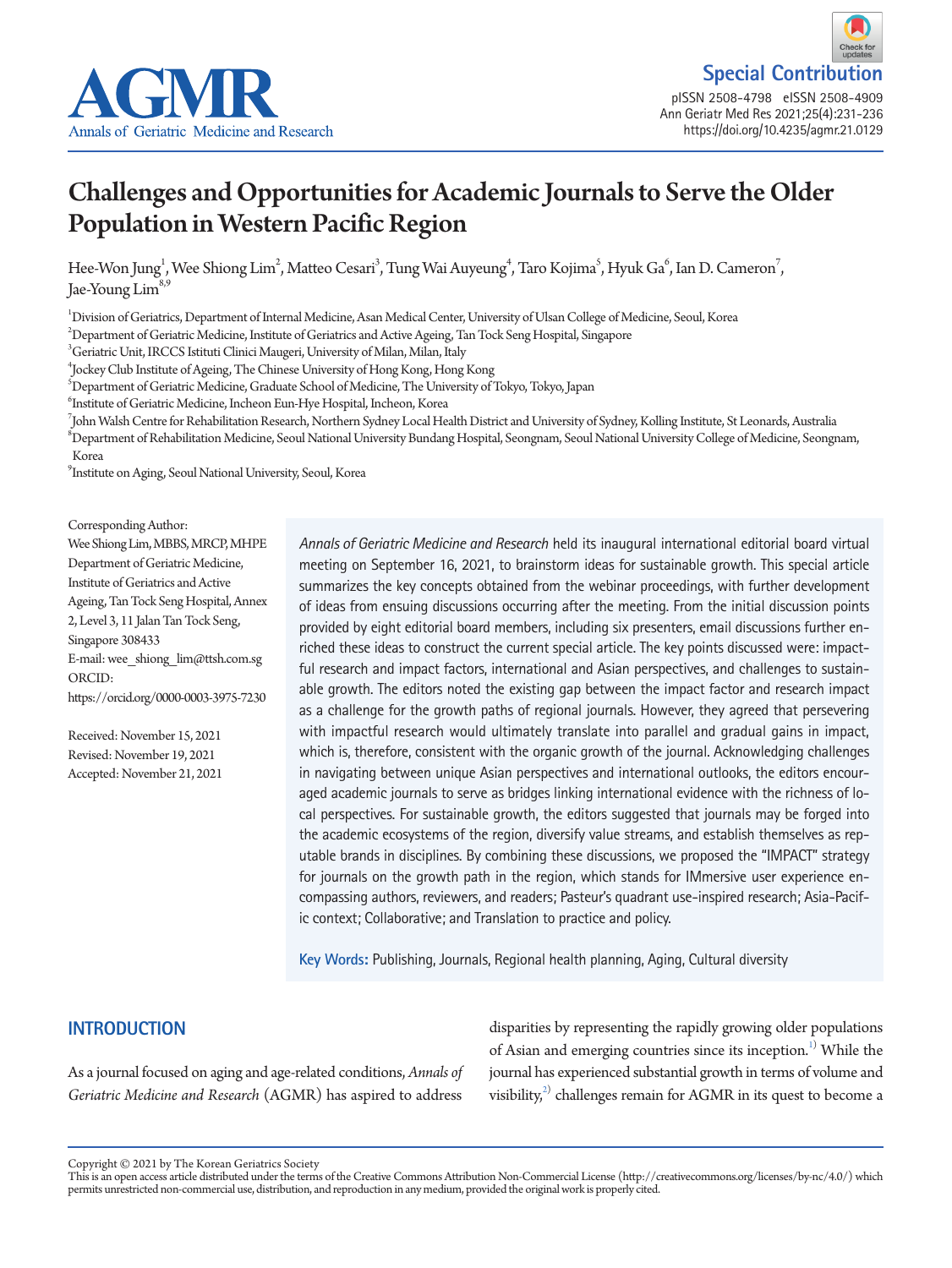

# Challenges and Opportunities for Academic Journals to Serve the Older Population in Western Pacific Region

Hee-Won Jung<sup>1</sup>, Wee Shiong Lim<sup>2</sup>, Matteo Cesari<sup>3</sup>, Tung Wai Auyeung<sup>4</sup>, Taro Kojima<sup>s</sup>, Hyuk Ga<sup>6</sup>, Ian D. Cameron<sup>7</sup>, Jae-Young  $Lim<sup>8,9</sup>$ </sup>

1 Division of Geriatrics, Department of Internal Medicine, Asan Medical Center, University of Ulsan College of Medicine, Seoul, Korea

 $^2$ Department of Geriatric Medicine, Institute of Geriatrics and Active Ageing, Tan Tock Seng Hospital, Singapore

3 Geriatric Unit, IRCCS Istituti Clinici Maugeri, University of Milan, Milan, Italy

4 Jockey Club Institute of Ageing, The Chinese University of Hong Kong, Hong Kong

 $^5$ Department of Geriatric Medicine, Graduate School of Medicine, The University of Tokyo, Tokyo, Japan

6 Institute of Geriatric Medicine, Incheon Eun-Hye Hospital, Incheon, Korea

 $^7$ John Walsh Centre for Rehabilitation Research, Northern Sydney Local Health District and University of Sydney, Kolling Institute, St Leonards, Australia

8 Department of Rehabilitation Medicine, Seoul National University Bundang Hospital, Seongnam, Seoul National University College of Medicine, Seongnam, Korea

9 Institute on Aging, Seoul National University, Seoul, Korea

Corresponding Author:

Wee Shiong Lim, MBBS, MRCP, MHPE Department of Geriatric Medicine, Institute of Geriatrics and Active Ageing, Tan Tock Seng Hospital, Annex 2, Level 3, 11 Jalan Tan Tock Seng, Singapore 308433 E-mail: wee\_shiong\_lim@ttsh.com.sg ORCID: https://orcid.org/0000-0003-3975-7230

Received: November 15, 2021 Revised: November 19, 2021 Accepted: November 21, 2021 *Annals of Geriatric Medicine and Research* held its inaugural international editorial board virtual meeting on September 16, 2021, to brainstorm ideas for sustainable growth. This special article summarizes the key concepts obtained from the webinar proceedings, with further development of ideas from ensuing discussions occurring after the meeting. From the initial discussion points provided by eight editorial board members, including six presenters, email discussions further enriched these ideas to construct the current special article. The key points discussed were: impactful research and impact factors, international and Asian perspectives, and challenges to sustainable growth. The editors noted the existing gap between the impact factor and research impact as a challenge for the growth paths of regional journals. However, they agreed that persevering with impactful research would ultimately translate into parallel and gradual gains in impact, which is, therefore, consistent with the organic growth of the journal. Acknowledging challenges in navigating between unique Asian perspectives and international outlooks, the editors encouraged academic journals to serve as bridges linking international evidence with the richness of local perspectives. For sustainable growth, the editors suggested that journals may be forged into the academic ecosystems of the region, diversify value streams, and establish themselves as reputable brands in disciplines. By combining these discussions, we proposed the "IMPACT" strategy for journals on the growth path in the region, which stands for IMmersive user experience encompassing authors, reviewers, and readers; Pasteur's quadrant use-inspired research; Asia-Pacific context; Collaborative; and Translation to practice and policy.

**Key Words:** Publishing, Journals, Regional health planning, Aging, Cultural diversity

## **INTRODUCTION**

As a journal focused on aging and age-related conditions, *Annals of Geriatric Medicine and Research* (AGMR) has aspired to address

disparities by representing the rapidly growing older populations of Asian and emerging countries since its inception.<sup>1)</sup> While the journal has experienced substantial growth in terms of volume and visibility, $^{2)}$  $^{2)}$  $^{2)}$  challenges remain for AGMR in its quest to become a

Copyright © 2021 by The Korean Geriatrics Society This is an open active Commons Attribution Non-Commercial License (http://creativecommons.org/licenses/by-nc/4.0/) which This is an open access article distributed under th permits unrestricted non-commercial use, distribution, and reproduction in any medium, provided the original work is properly cited.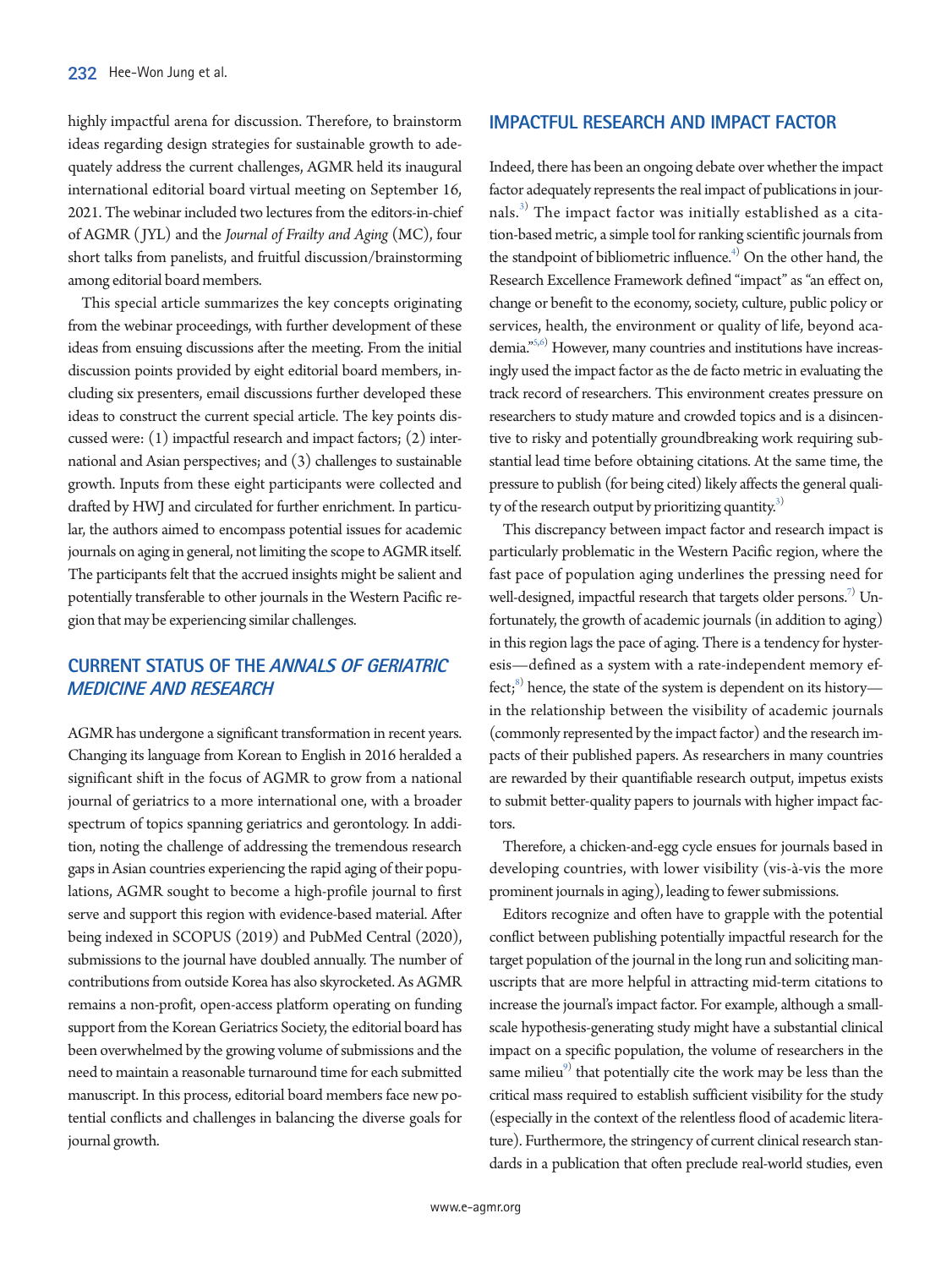highly impactful arena for discussion. Therefore, to brainstorm ideas regarding design strategies for sustainable growth to adequately address the current challenges, AGMR held its inaugural international editorial board virtual meeting on September 16, 2021. The webinar included two lectures from the editors-in-chief of AGMR (JYL) and the *Journal of Frailty and Aging* (MC), four short talks from panelists, and fruitful discussion/brainstorming among editorial board members.

This special article summarizes the key concepts originating from the webinar proceedings, with further development of these ideas from ensuing discussions after the meeting. From the initial discussion points provided by eight editorial board members, including six presenters, email discussions further developed these ideas to construct the current special article. The key points discussed were: (1) impactful research and impact factors; (2) international and Asian perspectives; and (3) challenges to sustainable growth. Inputs from these eight participants were collected and drafted by HWJ and circulated for further enrichment. In particular, the authors aimed to encompass potential issues for academic journals on aging in general, not limiting the scope to AGMR itself. The participants felt that the accrued insights might be salient and potentially transferable to other journals in the Western Pacific region that may be experiencing similar challenges.

## **CURRENT STATUS OF THE ANNALS OF GERIATRIC MEDICINE AND RESEARCH**

AGMR has undergone a significant transformation in recent years. Changing its language from Korean to English in 2016 heralded a significant shift in the focus of AGMR to grow from a national journal of geriatrics to a more international one, with a broader spectrum of topics spanning geriatrics and gerontology. In addition, noting the challenge of addressing the tremendous research gaps in Asian countries experiencing the rapid aging of their populations, AGMR sought to become a high-profile journal to first serve and support this region with evidence-based material. After being indexed in SCOPUS (2019) and PubMed Central (2020), submissions to the journal have doubled annually. The number of contributions from outside Korea has also skyrocketed. As AGMR remains a non-profit, open-access platform operating on funding support from the Korean Geriatrics Society, the editorial board has been overwhelmed by the growing volume of submissions and the need to maintain a reasonable turnaround time for each submitted manuscript. In this process, editorial board members face new potential conflicts and challenges in balancing the diverse goals for journal growth.

#### **IMPACTFUL RESEARCH AND IMPACT FACTOR**

Indeed, there has been an ongoing debate over whether the impact factor adequately represents the real impact of publications in jour-nals.<sup>[3](#page-4-2))</sup> The impact factor was initially established as a citation-based metric, a simple tool for ranking scientific journals from the standpoint of bibliometric influence.<sup>[4](#page-4-3))</sup> On the other hand, the Research Excellence Framework defined "impact" as "an effect on, change or benefit to the economy, society, culture, public policy or services, health, the environment or quality of life, beyond aca-demia."<sup>[5](#page-4-4)[,6\)](#page-4-5)</sup> However, many countries and institutions have increasingly used the impact factor as the de facto metric in evaluating the track record of researchers. This environment creates pressure on researchers to study mature and crowded topics and is a disincentive to risky and potentially groundbreaking work requiring substantial lead time before obtaining citations. At the same time, the pressure to publish (for being cited) likely affects the general quality of the research output by prioritizing quantity. $3$ )

This discrepancy between impact factor and research impact is particularly problematic in the Western Pacific region, where the fast pace of population aging underlines the pressing need for well-designed, impactful research that targets older persons.<sup>7)</sup> Unfortunately, the growth of academic journals (in addition to aging) in this region lags the pace of aging. There is a tendency for hysteresis—defined as a system with a rate-independent memory effect;<sup>8)</sup> hence, the state of the system is dependent on its history in the relationship between the visibility of academic journals (commonly represented by the impact factor) and the research impacts of their published papers. As researchers in many countries are rewarded by their quantifiable research output, impetus exists to submit better-quality papers to journals with higher impact factors.

Therefore, a chicken-and-egg cycle ensues for journals based in developing countries, with lower visibility (vis-à-vis the more prominent journals in aging), leading to fewer submissions.

Editors recognize and often have to grapple with the potential conflict between publishing potentially impactful research for the target population of the journal in the long run and soliciting manuscripts that are more helpful in attracting mid-term citations to increase the journal's impact factor. For example, although a smallscale hypothesis-generating study might have a substantial clinical impact on a specific population, the volume of researchers in the same milieu $\degree$ ) that potentially cite the work may be less than the critical mass required to establish sufficient visibility for the study (especially in the context of the relentless flood of academic literature). Furthermore, the stringency of current clinical research standards in a publication that often preclude real-world studies, even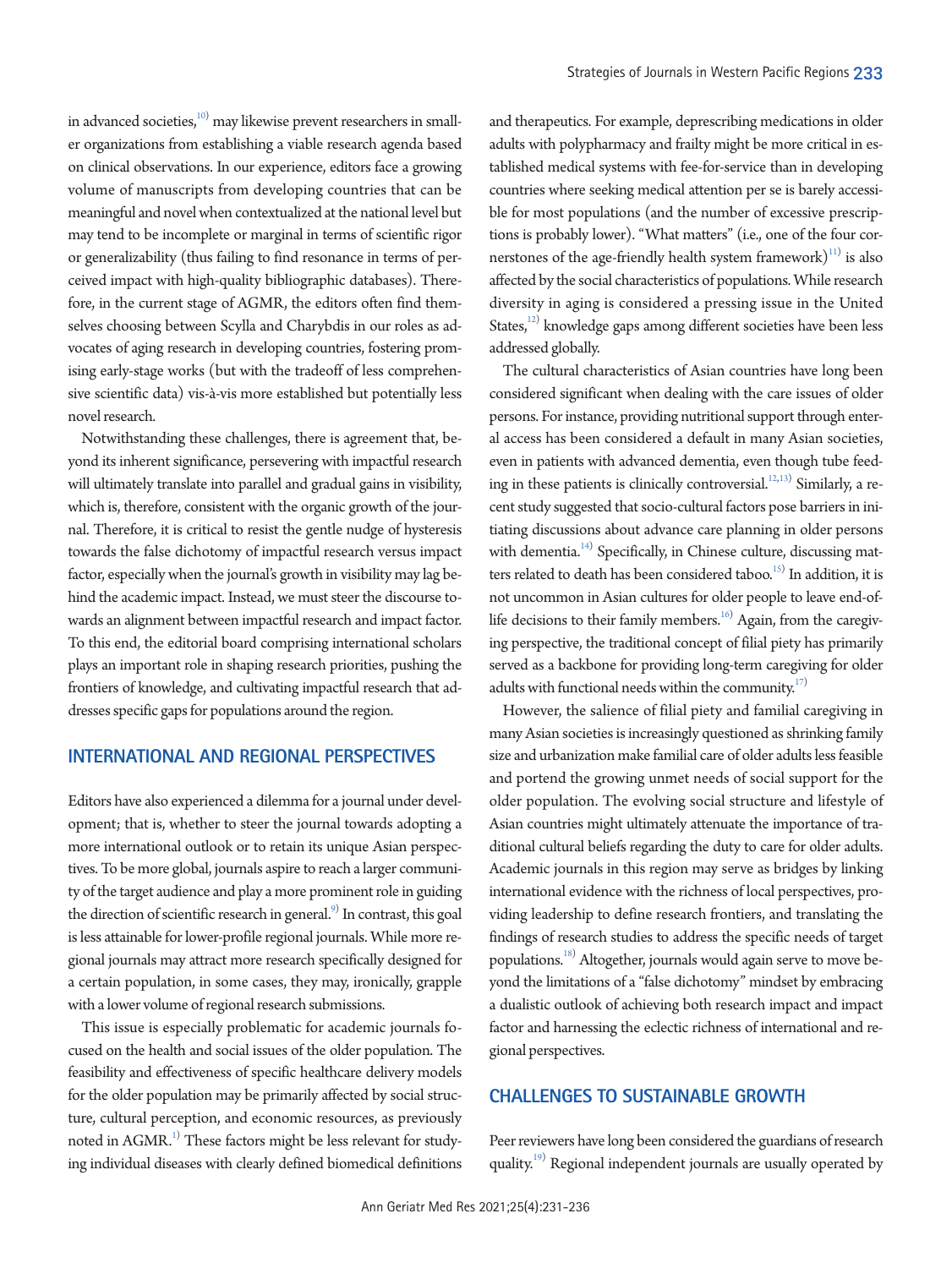in advanced societies, $^{10)}$  may likewise prevent researchers in smaller organizations from establishing a viable research agenda based on clinical observations. In our experience, editors face a growing volume of manuscripts from developing countries that can be meaningful and novel when contextualized at the national level but may tend to be incomplete or marginal in terms of scientific rigor or generalizability (thus failing to find resonance in terms of perceived impact with high-quality bibliographic databases). Therefore, in the current stage of AGMR, the editors often find themselves choosing between Scylla and Charybdis in our roles as advocates of aging research in developing countries, fostering promising early-stage works (but with the tradeoff of less comprehensive scientific data) vis-à-vis more established but potentially less novel research.

Notwithstanding these challenges, there is agreement that, beyond its inherent significance, persevering with impactful research will ultimately translate into parallel and gradual gains in visibility, which is, therefore, consistent with the organic growth of the journal. Therefore, it is critical to resist the gentle nudge of hysteresis towards the false dichotomy of impactful research versus impact factor, especially when the journal's growth in visibility may lag behind the academic impact. Instead, we must steer the discourse towards an alignment between impactful research and impact factor. To this end, the editorial board comprising international scholars plays an important role in shaping research priorities, pushing the frontiers of knowledge, and cultivating impactful research that addresses specific gaps for populations around the region.

## **INTERNATIONAL AND REGIONAL PERSPECTIVES**

Editors have also experienced a dilemma for a journal under development; that is, whether to steer the journal towards adopting a more international outlook or to retain its unique Asian perspectives. To be more global, journals aspire to reach a larger community of the target audience and play a more prominent role in guiding the direction of scientific research in general.<sup>9)</sup> In contrast, this goal is less attainable for lower-profile regional journals. While more regional journals may attract more research specifically designed for a certain population, in some cases, they may, ironically, grapple with a lower volume of regional research submissions.

This issue is especially problematic for academic journals focused on the health and social issues of the older population. The feasibility and effectiveness of specific healthcare delivery models for the older population may be primarily affected by social structure, cultural perception, and economic resources, as previously noted in AGMR. $^{\rm l)}$  These factors might be less relevant for studying individual diseases with clearly defined biomedical definitions

and therapeutics. For example, deprescribing medications in older adults with polypharmacy and frailty might be more critical in established medical systems with fee-for-service than in developing countries where seeking medical attention per se is barely accessible for most populations (and the number of excessive prescriptions is probably lower). "What matters" (i.e., one of the four cornerstones of the age-friendly health system framework $)^{11}$  is also affected by the social characteristics of populations. While research diversity in aging is considered a pressing issue in the United States,<sup>12)</sup> knowledge gaps among different societies have been less addressed globally.

The cultural characteristics of Asian countries have long been considered significant when dealing with the care issues of older persons. For instance, providing nutritional support through enteral access has been considered a default in many Asian societies, even in patients with advanced dementia, even though tube feed-ing in these patients is clinically controversial.<sup>1[2,13](#page-4-11))</sup> Similarly, a recent study suggested that socio-cultural factors pose barriers in initiating discussions about advance care planning in older persons with dementia.<sup>14)</sup> Specifically, in Chinese culture, discussing matters related to death has been considered taboo.<sup>15)</sup> In addition, it is not uncommon in Asian cultures for older people to leave end-of-life decisions to their family members.<sup>[16](#page-4-14))</sup> Again, from the caregiving perspective, the traditional concept of filial piety has primarily served as a backbone for providing long-term caregiving for older adults with functional needs within the community.<sup>17)</sup>

However, the salience of filial piety and familial caregiving in many Asian societies is increasingly questioned as shrinking family size and urbanization make familial care of older adults less feasible and portend the growing unmet needs of social support for the older population. The evolving social structure and lifestyle of Asian countries might ultimately attenuate the importance of traditional cultural beliefs regarding the duty to care for older adults. Academic journals in this region may serve as bridges by linking international evidence with the richness of local perspectives, providing leadership to define research frontiers, and translating the findings of research studies to address the specific needs of target populations.<sup>18)</sup> Altogether, journals would again serve to move beyond the limitations of a "false dichotomy" mindset by embracing a dualistic outlook of achieving both research impact and impact factor and harnessing the eclectic richness of international and regional perspectives.

## **CHALLENGES TO SUSTAINABLE GROWTH**

Peer reviewers have long been considered the guardians of research quality.<sup>[19](#page-5-2))</sup> Regional independent journals are usually operated by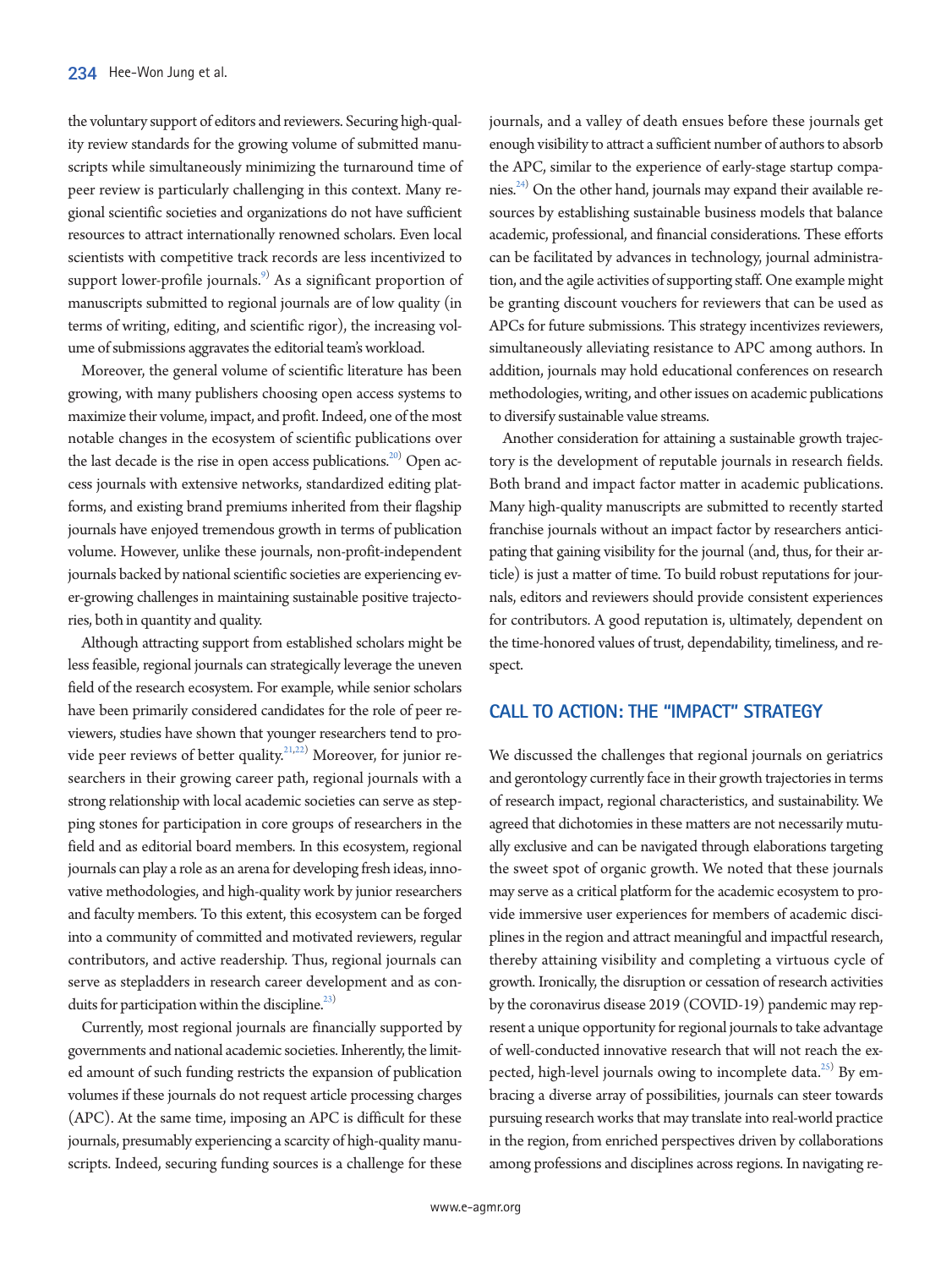the voluntary support of editors and reviewers. Securing high-quality review standards for the growing volume of submitted manuscripts while simultaneously minimizing the turnaround time of peer review is particularly challenging in this context. Many regional scientific societies and organizations do not have sufficient resources to attract internationally renowned scholars. Even local scientists with competitive track records are less incentivized to support lower-profile journals. $^{9}$  As a significant proportion of manuscripts submitted to regional journals are of low quality (in terms of writing, editing, and scientific rigor), the increasing volume of submissions aggravates the editorial team's workload.

Moreover, the general volume of scientific literature has been growing, with many publishers choosing open access systems to maximize their volume, impact, and profit. Indeed, one of the most notable changes in the ecosystem of scientific publications over the last decade is the rise in open access publications.<sup>20)</sup> Open access journals with extensive networks, standardized editing platforms, and existing brand premiums inherited from their flagship journals have enjoyed tremendous growth in terms of publication volume. However, unlike these journals, non-profit-independent journals backed by national scientific societies are experiencing ever-growing challenges in maintaining sustainable positive trajectories, both in quantity and quality.

Although attracting support from established scholars might be less feasible, regional journals can strategically leverage the uneven field of the research ecosystem. For example, while senior scholars have been primarily considered candidates for the role of peer reviewers, studies have shown that younger researchers tend to provide peer reviews of better quality. $^{21,22)}$  $^{21,22)}$  $^{21,22)}$  $^{21,22)}$  $^{21,22)}$  Moreover, for junior researchers in their growing career path, regional journals with a strong relationship with local academic societies can serve as stepping stones for participation in core groups of researchers in the field and as editorial board members. In this ecosystem, regional journals can play a role as an arena for developing fresh ideas, innovative methodologies, and high-quality work by junior researchers and faculty members. To this extent, this ecosystem can be forged into a community of committed and motivated reviewers, regular contributors, and active readership. Thus, regional journals can serve as stepladders in research career development and as conduits for participation within the discipline. $^{23)}$ 

Currently, most regional journals are financially supported by governments and national academic societies. Inherently, the limited amount of such funding restricts the expansion of publication volumes if these journals do not request article processing charges (APC). At the same time, imposing an APC is difficult for these journals, presumably experiencing a scarcity of high-quality manuscripts. Indeed, securing funding sources is a challenge for these

journals, and a valley of death ensues before these journals get enough visibility to attract a sufficient number of authors to absorb the APC, similar to the experience of early-stage startup companies.<sup>24)</sup> On the other hand, journals may expand their available resources by establishing sustainable business models that balance academic, professional, and financial considerations. These efforts can be facilitated by advances in technology, journal administration, and the agile activities of supporting staff. One example might be granting discount vouchers for reviewers that can be used as APCs for future submissions. This strategy incentivizes reviewers, simultaneously alleviating resistance to APC among authors. In addition, journals may hold educational conferences on research methodologies, writing, and other issues on academic publications to diversify sustainable value streams.

Another consideration for attaining a sustainable growth trajectory is the development of reputable journals in research fields. Both brand and impact factor matter in academic publications. Many high-quality manuscripts are submitted to recently started franchise journals without an impact factor by researchers anticipating that gaining visibility for the journal (and, thus, for their article) is just a matter of time. To build robust reputations for journals, editors and reviewers should provide consistent experiences for contributors. A good reputation is, ultimately, dependent on the time-honored values of trust, dependability, timeliness, and respect.

## **CALL TO ACTION: THE "IMPACT" STRATEGY**

We discussed the challenges that regional journals on geriatrics and gerontology currently face in their growth trajectories in terms of research impact, regional characteristics, and sustainability. We agreed that dichotomies in these matters are not necessarily mutually exclusive and can be navigated through elaborations targeting the sweet spot of organic growth. We noted that these journals may serve as a critical platform for the academic ecosystem to provide immersive user experiences for members of academic disciplines in the region and attract meaningful and impactful research, thereby attaining visibility and completing a virtuous cycle of growth. Ironically, the disruption or cessation of research activities by the coronavirus disease 2019 (COVID-19) pandemic may represent a unique opportunity for regional journals to take advantage of well-conducted innovative research that will not reach the ex-pected, high-level journals owing to incomplete data.<sup>[25\)](#page-5-8)</sup> By embracing a diverse array of possibilities, journals can steer towards pursuing research works that may translate into real-world practice in the region, from enriched perspectives driven by collaborations among professions and disciplines across regions. In navigating re-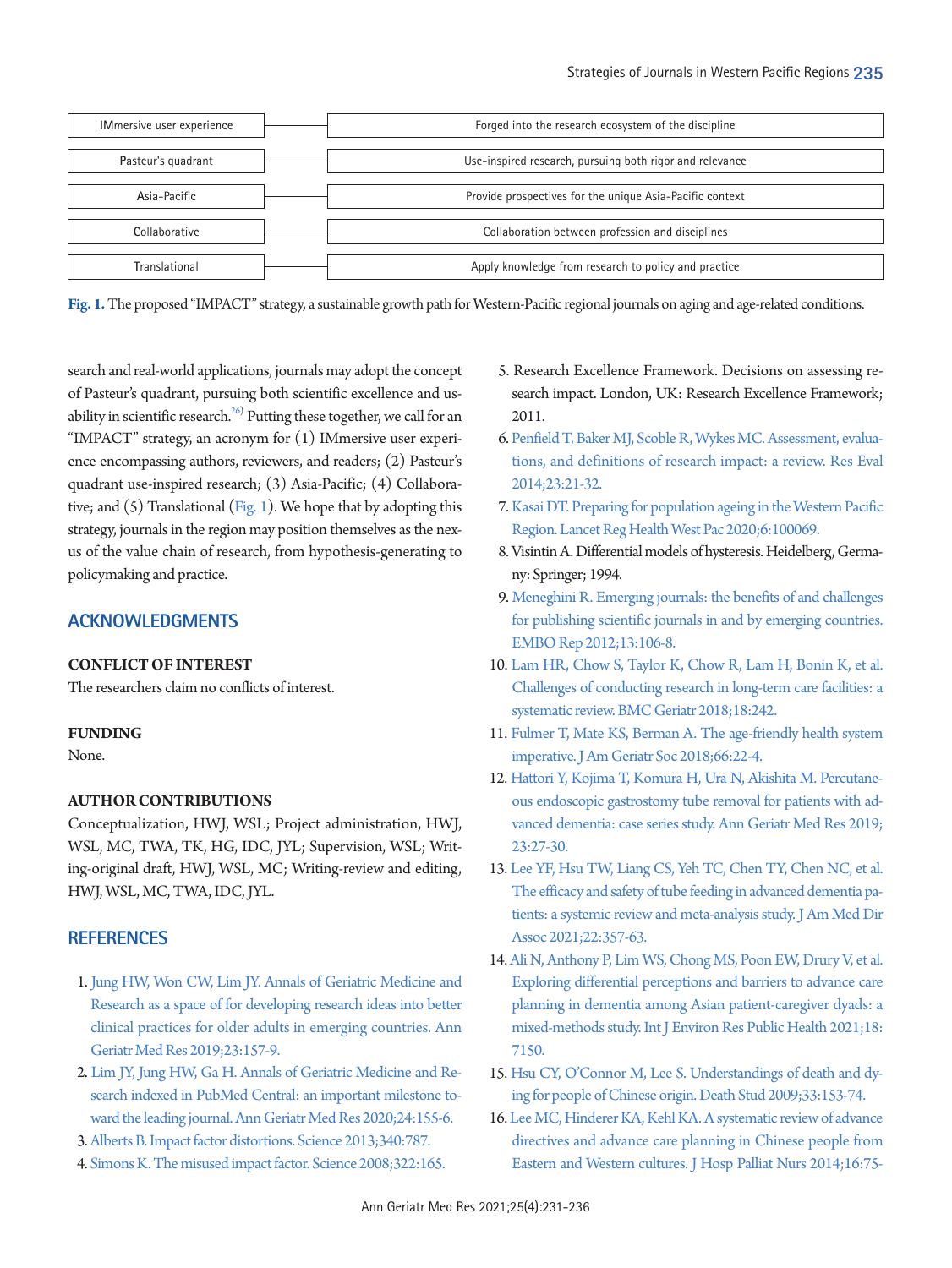<span id="page-4-15"></span>

**Fig. 1.** The proposed "IMPACT" strategy, a sustainable growth path for Western-Pacific regional journals on aging and age-related conditions.

search and real-world applications, journals may adopt the concept of Pasteur's quadrant, pursuing both scientific excellence and usability in scientific research. $^{26)}$  $^{26)}$  $^{26)}$  Putting these together, we call for an "IMPACT" strategy, an acronym for (1) IMmersive user experience encompassing authors, reviewers, and readers; (2) Pasteur's quadrant use-inspired research; (3) Asia-Pacific; (4) Collaborative; and (5) Translational [\(Fig. 1](#page-4-15)). We hope that by adopting this strategy, journals in the region may position themselves as the nexus of the value chain of research, from hypothesis-generating to policymaking and practice.

#### **ACKNOWLEDGMENTS**

#### **CONFLICT OF INTEREST**

The researchers claim no conflicts of interest.

#### **FUNDING**

None.

#### <span id="page-4-0"></span>**AUTHOR CONTRIBUTIONS**

Conceptualization, HWJ, WSL; Project administration, HWJ, WSL, MC, TWA, TK, HG, IDC, JYL; Supervision, WSL; Writing-original draft, HWJ, WSL, MC; Writing-review and editing, HWJ, WSL, MC, TWA, IDC, JYL.

#### <span id="page-4-2"></span>**REFERENCES**

- 1. [Jung HW, Won CW, Lim JY. Annals of Geriatric Medicine and](https://doi.org/10.4235/agmr.19.0044)  [Research as a space of for developing research ideas into better](https://doi.org/10.4235/agmr.19.0044)  [clinical practices for older adults in emerging countries. Ann](https://doi.org/10.4235/agmr.19.0044)  [Geriatr Med Res 2019;23:157-9.](https://doi.org/10.4235/agmr.19.0044)
- <span id="page-4-1"></span>2. [Lim JY, Jung HW, Ga H. Annals of Geriatric Medicine and Re](https://doi.org/10.4235/agmr.20.0061)[search indexed in PubMed Central: an important milestone to](https://doi.org/10.4235/agmr.20.0061)[ward the leading journal. Ann Geriatr Med Res 2020;24:155-6.](https://doi.org/10.4235/agmr.20.0061)
- 3. [Alberts B. Impact factor distortions. Science 2013;340:787.](https://doi.org/10.1126/science.1240319)
- <span id="page-4-3"></span>[4. Simons K. The misused impact factor. Science 2008;322:165.](https://doi.org/10.1126/science.1165316)
- <span id="page-4-4"></span>5. Research Excellence Framework. Decisions on assessing research impact. London, UK: Research Excellence Framework; 2011.
- <span id="page-4-8"></span><span id="page-4-5"></span>6. Penfield [T, Baker MJ, Scoble R, Wykes MC. Assessment, evalua](https://doi.org/10.1093/reseval/rvt021)[tions, and definitions of research impact: a review. Res Eval](https://doi.org/10.1093/reseval/rvt021)  [2014;23:21-32.](https://doi.org/10.1093/reseval/rvt021)
- <span id="page-4-6"></span>[7. Kasai DT. Preparing for population ageing in the Western Pacific](https://doi.org/10.1016/j.lanwpc.2020.100069)  [Region. Lancet Reg Health West Pac 2020;6:100069](https://doi.org/10.1016/j.lanwpc.2020.100069).
- <span id="page-4-7"></span>8. Visintin A. Differential models of hysteresis. Heidelberg, Germany: Springer; 1994.
- 9. [Meneghini R. Emerging journals: the benefits of and challenges](https://doi.org/10.1038/embor.2011.252)  [for publishing scientific journals in and by emerging countries.](https://doi.org/10.1038/embor.2011.252)  [EMBO Rep 2012;13:106-8.](https://doi.org/10.1038/embor.2011.252)
- <span id="page-4-9"></span>10[. Lam HR, Chow S, Taylor K, Chow R, Lam H, Bonin K, et al.](https://doi.org/10.1186/s12877-018-0934-9)  [Challenges of conducting research in long-term care facilities: a](https://doi.org/10.1186/s12877-018-0934-9)  [systematic review. BMC Geriatr 2018;18:242](https://doi.org/10.1186/s12877-018-0934-9).
- <span id="page-4-10"></span>11[. Fulmer T, Mate KS, Berman A. The age-friendly health system](https://doi.org/10.1111/jgs.15076)  [imperative. J Am Geriatr Soc 2018;66:22-4](https://doi.org/10.1111/jgs.15076).
- 12. [Hattori Y, Kojima T, Komura H, Ura N, Akishita M. Percutane](https://doi.org/10.4235/agmr.19.0006)[ous endoscopic gastrostomy tube removal for patients with ad](https://doi.org/10.4235/agmr.19.0006)[vanced dementia: case series study. Ann Geriatr Med Res 2019;](https://doi.org/10.4235/agmr.19.0006) [23:27-30.](https://doi.org/10.4235/agmr.19.0006)
- <span id="page-4-11"></span>13[. Lee YF, Hsu TW, Liang CS, Yeh TC, Chen TY, Chen NC, et al.](https://doi.org/10.1016/j.jamda.2020.06.035)  [The efficacy and safety of tube feeding in advanced dementia pa](https://doi.org/10.1016/j.jamda.2020.06.035)[tients: a systemic review and meta-analysis study. J Am Med Dir](https://doi.org/10.1016/j.jamda.2020.06.035)  [Assoc 2021;22:357-63.](https://doi.org/10.1016/j.jamda.2020.06.035)
- <span id="page-4-12"></span>14[. Ali N, Anthony P, Lim WS, Chong MS, Poon EW, Drury V, et al.](https://doi.org/10.3390/ijerph18137150)  [Exploring differential perceptions and barriers to advance care](https://doi.org/10.3390/ijerph18137150)  [planning in dementia among Asian patient-caregiver dyads: a](https://doi.org/10.3390/ijerph18137150)  [mixed-methods study. Int J Environ Res Public](https://doi.org/10.3390/ijerph18137150) Health 2021;18: 7150.
- <span id="page-4-13"></span>15[. Hsu CY, O'Connor M, Lee S. Understandings of death and dy](https://doi.org/10.1080/07481180802440431)[ing for people of Chinese origin. Death Stud 2009;33:153-74.](https://doi.org/10.1080/07481180802440431)
- <span id="page-4-14"></span>16[. Lee MC, Hinderer KA, Kehl KA. A systematic review of advance](https://doi.org/10.1097/njh.0000000000000024)  [directives and advance care planning in Chinese people from](https://doi.org/10.1097/njh.0000000000000024)  [Eastern and Western cultures. J Hosp Palliat Nurs 2014;16:75-](https://doi.org/10.1097/njh.0000000000000024)